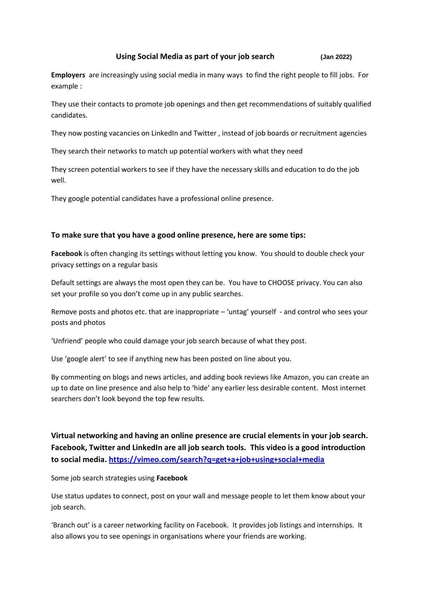### **Using Social Media as part of your job search (Jan 2022)**

**Employers** are increasingly using social media in many ways to find the right people to fill jobs. For example :

They use their contacts to promote job openings and then get recommendations of suitably qualified candidates.

They now posting vacancies on LinkedIn and Twitter , instead of job boards or recruitment agencies

They search their networks to match up potential workers with what they need

They screen potential workers to see if they have the necessary skills and education to do the job well.

They google potential candidates have a professional online presence.

#### **To make sure that you have a good online presence, here are some tips:**

**Facebook** is often changing its settings without letting you know. You should to double check your privacy settings on a regular basis

Default settings are always the most open they can be. You have to CHOOSE privacy. You can also set your profile so you don't come up in any public searches.

Remove posts and photos etc. that are inappropriate – 'untag' yourself - and control who sees your posts and photos

'Unfriend' people who could damage your job search because of what they post.

Use 'google alert' to see if anything new has been posted on line about you.

By commenting on blogs and news articles, and adding book reviews like Amazon, you can create an up to date on line presence and also help to 'hide' any earlier less desirable content. Most internet searchers don't look beyond the top few results.

**Virtual networking and having an online presence are crucial elements in your job search. Facebook, Twitter and LinkedIn are all job search tools. This video is a good introduction to social media. <https://vimeo.com/search?q=get+a+job+using+social+media>**

Some job search strategies using **Facebook**

Use status updates to connect, post on your wall and message people to let them know about your job search.

'Branch out' is a career networking facility on Facebook. It provides job listings and internships. It also allows you to see openings in organisations where your friends are working.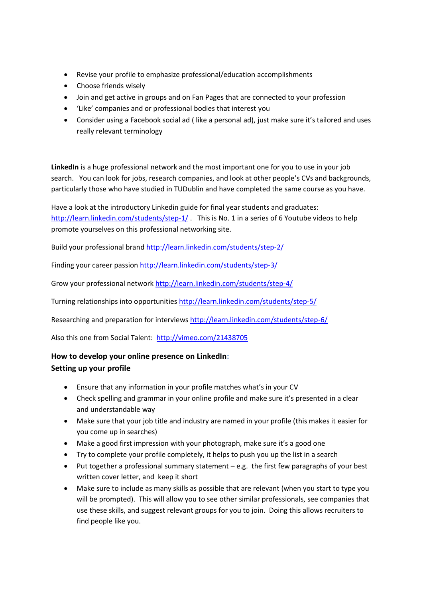- Revise your profile to emphasize professional/education accomplishments
- Choose friends wisely
- Join and get active in groups and on Fan Pages that are connected to your profession
- 'Like' companies and or professional bodies that interest you
- Consider using a Facebook social ad ( like a personal ad), just make sure it's tailored and uses really relevant terminology

**LinkedIn** is a huge professional network and the most important one for you to use in your job search. You can look for jobs, research companies, and look at other people's CVs and backgrounds, particularly those who have studied in TUDublin and have completed the same course as you have.

Have a look at the introductory Linkedin guide for final year students and graduates: <http://learn.linkedin.com/students/step-1/> This is No. 1 in a series of 6 Youtube videos to help promote yourselves on this professional networking site.

Build your professional brand<http://learn.linkedin.com/students/step-2/>

Finding your career passion<http://learn.linkedin.com/students/step-3/>

Grow your professional network<http://learn.linkedin.com/students/step-4/>

Turning relationships into opportunities<http://learn.linkedin.com/students/step-5/>

Researching and preparation for interviews<http://learn.linkedin.com/students/step-6/>

Also this one from Social Talent: <http://vimeo.com/21438705>

# **How to develop your online presence on LinkedIn: Setting up your profile**

- Ensure that any information in your profile matches what's in your CV
- Check spelling and grammar in your online profile and make sure it's presented in a clear and understandable way
- Make sure that your job title and industry are named in your profile (this makes it easier for you come up in searches)
- Make a good first impression with your photograph, make sure it's a good one
- Try to complete your profile completely, it helps to push you up the list in a search
- Put together a professional summary statement e.g. the first few paragraphs of your best written cover letter, and keep it short
- Make sure to include as many skills as possible that are relevant (when you start to type you will be prompted). This will allow you to see other similar professionals, see companies that use these skills, and suggest relevant groups for you to join. Doing this allows recruiters to find people like you.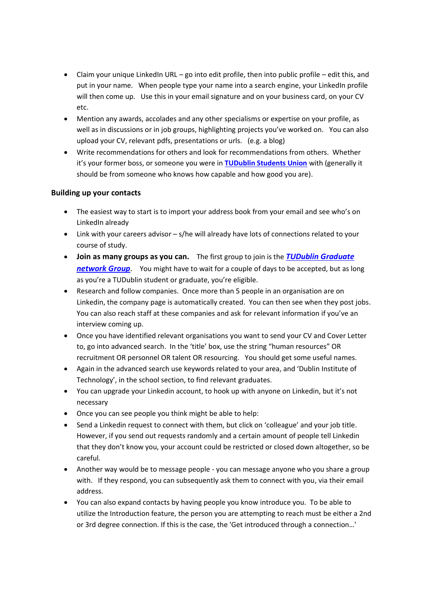- Claim your unique LinkedIn URL go into edit profile, then into public profile edit this, and put in your name. When people type your name into a search engine, your LinkedIn profile will then come up. Use this in your email signature and on your business card, on your CV etc.
- Mention any awards, accolades and any other specialisms or expertise on your profile, as well as in discussions or in job groups, highlighting projects you've worked on. You can also upload your CV, relevant pdfs, presentations or urls. (e.g. a blog)
- Write recommendations for others and look for recommendations from others. Whether it's your former boss, or someone you were in **[TUDublin Students Union](https://www.tudublinsu.ie/)** with (generally it should be from someone who knows how capable and how good you are).

## **Building up your contacts**

- The easiest way to start is to import your address book from your email and see who's on LinkedIn already
- Link with your careers advisor s/he will already have lots of connections related to your course of study.
- **Join as many groups as you can.** The first group to join is the *TUDublin [Graduate](https://www.tudublin.ie/connect/graduates/join-our-graduate-network/)  [network Group](https://www.tudublin.ie/connect/graduates/join-our-graduate-network/)*. You might have to wait for a couple of days to be accepted, but as long as you're a TUDublin student or graduate, you're eligible.
- Research and follow companies. Once more than 5 people in an organisation are on Linkedin, the company page is automatically created. You can then see when they post jobs. You can also reach staff at these companies and ask for relevant information if you've an interview coming up.
- Once you have identified relevant organisations you want to send your CV and Cover Letter to, go into advanced search. In the 'title' box, use the string "human resources" OR recruitment OR personnel OR talent OR resourcing. You should get some useful names.
- Again in the advanced search use keywords related to your area, and 'Dublin Institute of Technology', in the school section, to find relevant graduates.
- You can upgrade your Linkedin account, to hook up with anyone on Linkedin, but it's not necessary
- Once you can see people you think might be able to help:
- Send a Linkedin request to connect with them, but click on 'colleague' and your job title. However, if you send out requests randomly and a certain amount of people tell Linkedin that they don't know you, your account could be restricted or closed down altogether, so be careful.
- Another way would be to message people you can message anyone who you share a group with. If they respond, you can subsequently ask them to connect with you, via their email address.
- You can also expand contacts by having people you know introduce you. To be able to utilize the Introduction feature, the person you are attempting to reach must be either a 2nd or 3rd degree connection. If this is the case, the 'Get introduced through a connection…'